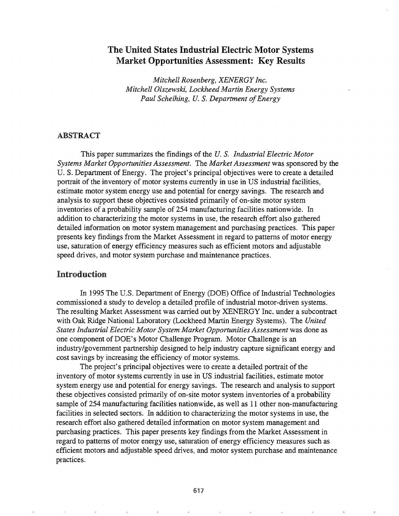# The United States Industrial Electric Motor Systems Market Opportunities Assessment: Key Results

*Mitchell Rosenberg, XENERGY Inc. Mitchell Olszewski, Lockheed Martin Energy Systems Paul Scheihing, U. S. Department of Energy* 

#### ABSTRACT

This paper summarizes the findings of the U. S. *Industrial Electric Motor Systems Market Opportunities Assessment.* The *Market Assessment* was sponsored by the U. S. Department of Energy. The project's principal objectives were to create a detailed portrait of the inventory of motor systems currently in use in US industrial facilities, estimate motor system energy use and potential for energy savings. The research and analysis to support these objectives consisted primarily of on-site motor system inventories of a probability sample of 254 manufacturing facilities nationwide. In addition to characterizing the motor systems in use, the research effort also gathered detailed information on motor system management and purchasing practices. This paper presents key findings from the Market Assessment in regard to patterns of motor energy use, saturation of energy efficiency measures such as efficient motors and adjustable speed drives, and motor system purchase and maintenance practices.

#### Introduction

In 1995 The U.S. Department of Energy (DOE) Office of Industrial Technologies commissioned a study to develop a detailed profile of industrial motor-driven systems. The resulting Market Assessment was carried out by XENERGY Inc. under a subcontract with Oak Ridge National Laboratory (Lockheed Martin Energy Systems). The *United States Industrial Electric Motor System Market Opportunities Assessment* was done as one component of DOE's Motor Challenge Program. Motor Challenge is an industry/government partnership designed to help industry capture significant energy and cost savings by increasing the efficiency of motor systems.

The project's principal objectives were to create a detailed portrait of the inventory of motor systems currently in use in US industrial facilities, estimate motor system energy use and potential for energy savings. The research and analysis to support these objectives consisted primarily of on-site motor system inventories of a probability sample of 254 manufacturing facilities nationwide, as well as 11 other non-manufacturing facilities in selected sectors. In addition to characterizing the motor systems in use, the research effort also gathered detailed information on motor system management and purchasing practices. This paper presents key findings from the Market Assessment in regard to patterns of motor energy use, saturation of energy efficiency measures such as efficient motors and adjustable speed drives, and motor system purchase and maintenance practices.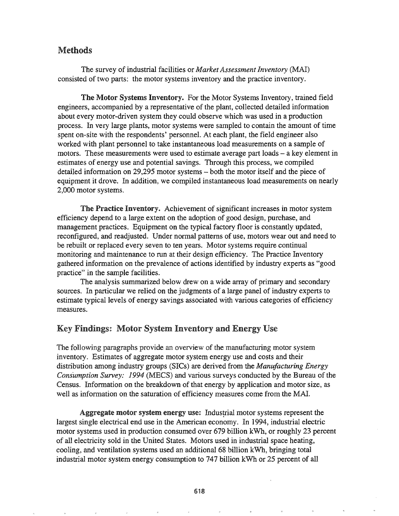## Methods

The survey of industrial facilities or *Market Assessment Inventory* (MAl) consisted of two parts: the motor systems inventory and the practice inventory.

The Motor Systems Inventory. For the Motor Systems Inventory, trained field engineers, accompanied by a representative of the plant, collected detailed information about every motor-driven system they could observe which was used in a production process. In very large plants, motor systems were sampled to contain the amount of time spent on-site with the respondents' personnel. At each plant, the field engineer also worked with plant personnel to take instantaneous load measurements on a sample of motors. These measurements were used to estimate average part loads – a key element in estimates of energy use and potential savings. Through this process, we compiled detailed information on 29,295 motor systems – both the motor itself and the piece of equipment it drove. In addition, we compiled instantaneous load measurements on nearly 2,000 motor systems.

The Practice Inventory. Achievement of significant increases in motor system efficiency depend to a large extent on the adoption of good design, purchase, and management practices. Equipment on the typical factory floor is constantly updated, reconfigured, and readjusted. Under normal patterns of use, motors wear out and need to be rebuilt or replaced every seven to ten years. Motor systems require continual monitoring and maintenance to run at their design efficiency. The Practice Inventory gathered information on the prevalence of actions identified by industry experts as "good practice" in the sample facilities.

The analysis summarized below drew on a wide array of primary and secondary sources. In particular we relied on the judgments of a large panel of industry experts to estimate typical levels of energy savings associated with various categories of efficiency measures.

## Key Findings: Motor System Inventory and Energy Use

The following paragraphs provide an overview of the manufacturing motor system inventory. Estimates of aggregate motor system energy use and costs and their distribution among industry groups (SICs) are derived from the *Manufacturing Energy Consumption Survey: 1994* (MECS) and various surveys conducted by the Bureau of the Census. Information on the breakdown of that energy by application and motor size, as well as information on the saturation of efficiency measures come from the MAl.

Aggregate motor system energy use: Industrial motor systems represent the largest single electrical end use in the American economy. In 1994, industrial electric motor systems used in production consumed over 679 billion kWh, or roughly 23 percent of all electricity sold in the United States. Motors used in industrial space heating, cooling, and ventilation systems used an additional 68 billion kWh, bringing total industrial motor system energy consumption to 747 billion kWh or 25 percent of all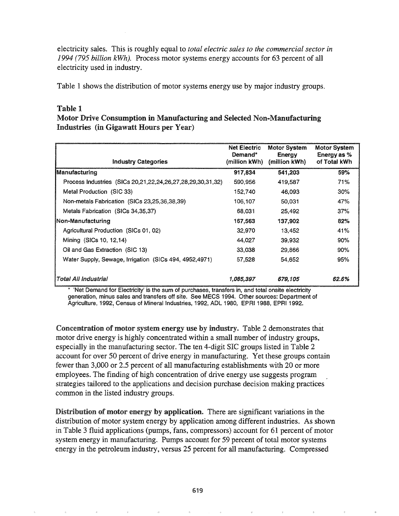electricity sales. This is roughly equal to *total electric sales to the commercial sector in* 1994 (795 *billion kWh).* Process motor systems energy accounts for 63 percent of all electricity used in industry.

Table 1 shows the distribution of motor systems energy use by major industry groups.

### Table 1

### Motor Drive Consumption in Manufacturing and Selected Non-Manufacturing Industries (in Gigawatt Hours per Year)

| <b>Industry Categories</b>                                           | <b>Net Electric</b><br>Demand*<br>(million kWh) | <b>Motor System</b><br><b>Energy</b><br>(million kWh) | <b>Motor System</b><br>Energy as %<br>of Total kWh |
|----------------------------------------------------------------------|-------------------------------------------------|-------------------------------------------------------|----------------------------------------------------|
| Manufacturing                                                        | 917,834                                         | 541,203                                               | 59%                                                |
| Process Industries (SICs 20, 21, 22, 24, 26, 27, 28, 29, 30, 31, 32) | 590,956                                         | 419.587                                               | 71%                                                |
| Metal Production (SIC 33)                                            | 152,740                                         | 46,093                                                | $30\%$                                             |
| Non-metals Fabrication (SICs 23,25,36,38,39)                         | 106.107                                         | 50,031                                                | 47%                                                |
| Metals Fabrication (SICs 34,35,37)                                   | 68,031                                          | 25,492                                                | 37%                                                |
| Non-Manufacturing                                                    | 167.563                                         | 137.902                                               | 82%                                                |
| Agricultural Production (SICs 01, 02)                                | 32,970                                          | 13.452                                                | 41%                                                |
| Mining (SICs 10, 12, 14)                                             | 44.027                                          | 39,932                                                | 90%                                                |
| Oil and Gas Extraction (SIC 13)                                      | 33,038                                          | 29.866                                                | 90%                                                |
| Water Supply, Sewage, Irrigation (SICs 494, 4952, 4971)              | 57,528                                          | 54,652                                                | 95%                                                |
| Total All Industrial                                                 | 1,085,397                                       | 679,105                                               | 62.6%                                              |

'Net Demand for Electricity' is the sum of purchases, transfers in, and total onsite electricity generation, minus sales and transfers off site. See MECS 1994. Other sources: Department of Agriculture, 1992, Census of Mineral Industries, 1992, ADL 1980, EPRI 1988, EPRI 1992.

Concentration of motor system energy use by industry. Table 2 demonstrates that motor drive energy is highly concentrated within a small number of industry groups, especially in the manufacturing sector. The ten 4-digit SIC groups listed in Table 2 account for over 50 percent of drive energy in manufacturing. Yet these groups contain fewer than 3,000 or 2.5 percent of all manufacturing establishments with 20 or more employees. The finding of high concentration of drive energy use suggests program strategies tailored to the applications and decision purchase decision making practices common in the listed industry groups.

Distribution of motor energy by application. There are significant variations in the distribution of motor system energy by application among different industries. As shown in Table 3 fluid applications (pumps, fans, compressors) account for  $61$  percent of motor system energy in manufacturing. Pumps account for 59 percent of total motor systems energy in the petroleum industry, versus 25 percent for all manufacturing. Compressed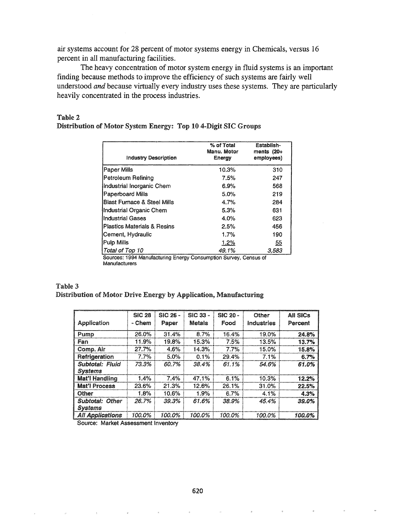air systems account for 28 percent of motor systems energy in Chemicals, versus 16 percent in all manufacturing facilities.

The heavy concentration of motor system energy in fluid systems is an important finding because methods to improve the efficiency of such systems are fairly well understood and because virtually every industry uses these systems. They are particularly heavily concentrated in the process industries.

| <b>Industry Description</b>            | % of Total<br>Manu. Motor<br>Energy | Establish-<br>ments $(20+)$<br>employees) |
|----------------------------------------|-------------------------------------|-------------------------------------------|
| Paper Mills                            | 10.3%                               | 310                                       |
| Petroleum Refining                     | 7.5%                                | 247                                       |
| Industrial Inorganic Chem              | 6.9%                                | 568                                       |
| <b>Paperboard Mills</b>                | 5.0%                                | 219                                       |
| <b>Blast Furnace &amp; Steel Mills</b> | 4.7%                                | 284                                       |
| Industrial Organic Chem                | 5.3%                                | 631                                       |
| Industrial Gases                       | 4.0%                                | 623                                       |
| <b>Plastics Materials &amp; Resins</b> | 2.5%                                | 456                                       |
| Cement, Hydraulic                      | 1.7%                                | 190                                       |
| Pulp Mills                             | 1.2%                                | <u>55</u>                                 |
| Total of Top 10                        | 49.1%                               | 3,583                                     |

### Table 2 Distribution of Motor System Energy: Top 10 4-Digit SIC Groups

94 manuracruring Energy Consumption Survey, Census of Manufacturers

| Table 3 |  |  |                                                                  |
|---------|--|--|------------------------------------------------------------------|
|         |  |  | Distribution of Motor Drive Energy by Application, Manufacturing |

|                                          | <b>SIC 28</b> | SIC 26 - | SIC 33 -      | $SC20 -$ | Other      | All SICs |
|------------------------------------------|---------------|----------|---------------|----------|------------|----------|
| Application                              | - Chem        | Paper    | <b>Metals</b> | Food     | Industries | Percent  |
| Pump                                     | 26.0%         | 31.4%    | 8.7%          | 16.4%    | 19.0%      | 24.8%    |
| Fan                                      | 11.9%         | 19.8%    | 15.3%         | 7.5%     | 13.5%      | 13.7%    |
| Comp. Air                                | 27.7%         | 4.6%     | 14.3%         | 7.7%     | 15.0%      | 15.8%    |
| Refrigeration                            | 7.7%          | $5.0\%$  | 0.1%          | 29.4%    | 7.1%       | 6.7%     |
| <b>Subtotal: Fluid</b><br><b>Systems</b> | 73.3%         | 60.7%    | 38.4%         | 61.1%    | 54.6%      | 61.0%    |
| Mat'l Handling                           | 1.4%          | 7.4%     | 47.1%         | 6.1%     | 10.3%      | 12.2%    |
| <b>Mat'l Process</b>                     | 23.6%         | 21.3%    | 12.6%         | 26.1%    | 31.0%      | 22.5%    |
| Other                                    | 1.8%          | 10.6%    | 1.9%          | 6.7%     | 4.1%       | 4.3%     |
| <b>Subtotal: Other</b><br><b>Systems</b> | 26.7%         | 39.3%    | 61.6%         | 38.9%    | 45.4%      | 39.0%    |
| <b>All Applications</b>                  | 100.0%        | 100.0%   | 100.0%        | 100.0%   | 100.0%     | 100.0%   |

Source: Market Assessment Inventory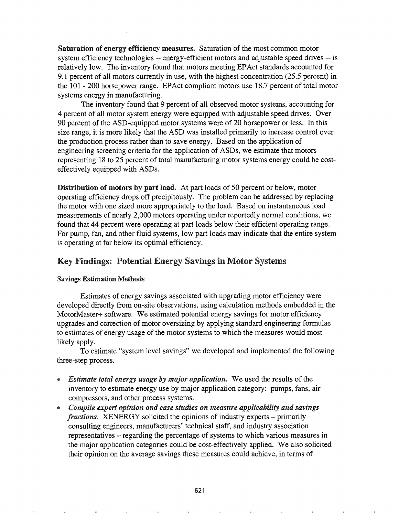Saturation of energy efficiency measures. Saturation of the most common motor system efficiency technologies -- energy-efficient motors and adjustable speed drives -- is relatively low. The inventory found that motors meeting EPAct standards accounted for 9.1 percent of all motors currently in use, with the highest concentration (25.5 percent) in the 101 - 200 horsepower range. EPAct compliant motors use 18.7 percent of total motor systems energy in manufacturing.

The inventory found that 9 percent of all observed motor systems, accounting for 4 percent of all motor system energy were equipped with adjustable speed drives. Over 90 percent of the ASD-equipped motor systems were of 20 horsepower or less. In this size range, it is more likely that the ASD was installed primarily to increase control over the production process rather than to save energy. Based on the application of engineering screening criteria for the application of ASDs, we estimate that motors representing 18 to 25 percent of total manufacturing motor systems energy could be costeffectively equipped with ASDs.

Distribution of motors by part load. At part loads of 50 percent or below, motor operating efficiency drops off precipitously. The problem can be addressed by replacing the motor with one sized more appropriately to the load. Based on instantaneous load measurements of nearly 2,000 motors operating under reportedly normal conditions, we found that 44 percent were operating at part loads below their efficient operating range. For pump, fan, and other fluid systems, low part loads may indicate that the entire system is operating at far below its optimal efficiency.

## Key Findings: Potential Energy Savings in Motor Systems

#### Savings Estimation Methods

Estimates of energy savings associated with upgrading motor efficiency were developed directly from on-site observations, using calculation methods embedded in the MotorMaster+ software.. We estimated potential energy savings for motor efficiency upgrades and correction of motor oversizing by applying standard engineering formulae to estimates of energy usage of the motor systems to which the measures would most likely apply.

To estimate "system level savings" we developed and implemented the following three-step process.

- @ *Estimate total energy usage by major application..* We used the results of the inventory to estimate energy use by major application category: pumps, fans, air compressors, and other process systems.
- @ *Compile expert opinion and case studies on measure applicability and savings*  $fractions$ . XENERGY solicited the opinions of industry experts – primarily consulting engineers, manufacturers' technical staff, and industry association representatives - regarding the percentage of systems to which various measures in the major application categories could be cost-effectively applied. We also solicited their opinion on the average savings these measures could achieve, in terms of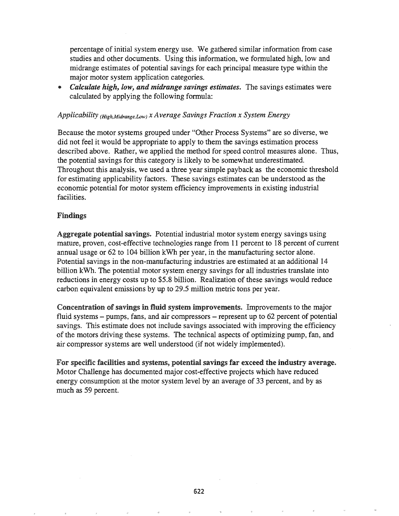percentage of initial system energy use. We gathered similar information from case studies and other documents. Using this information, we formulated high, low and midrange estimates of potential savings for each principal measure type within the major motor system application categories.

*Calculate high, low, and midrange savings estimates.* **The savings estimates were** calculated by applying the following formula:

#### *Applicability (High,Midrange,*Low) *X Average Savings Fraction x System Energy*

Because the motor systems grouped under "Other Process Systems" are so diverse, we did not feel it would be appropriate to apply to them the savings estimation process described above. Rather, we applied the method for speed control measures alone. Thus, the potential savings for this category is likely to be somewhat underestimated. Throughout this analysis, we used a three year simple payback as the economic threshold for estimating applicability factors. These savings estimates can be understood as the economic potential for motor system efficiency improvements in existing industrial facilities.

#### Findings

Aggregate potential savings. Potential industrial motor system energy savings using mature, proven, cost-effective technologies range from 11 percent to 18 percent of current annual usage or 62 to 104 billion kWh per year, in the manufacturing sector alone. Potential savings in the non-manufacturing industries are estimated at an additional 14 billion kWh. The potential motor system energy savings for all industries translate into reductions in energy costs up to \$5.8 billion. Realization of these savings would reduce carbon equivalent emissions by up to 29.5 million metric tons per year.

Concentration of savings in fluid system improvements. Improvements to the major fluid systems - pumps, fans, and air compressors - represent up to 62 percent of potential savings. This estimate does not include savings associated with improving the efficiency of the motors driving these systems. The technical aspects of optimizing pump, fan, and air compressor systems are well understood (if not widely implemented).

For specific facilities and systems, potential savings far exceed the industry average. Motor Challenge has documented major cost-effective projects which have reduced energy consumption at the motor system level by an average of 33 percent, and by as much as 59 percent.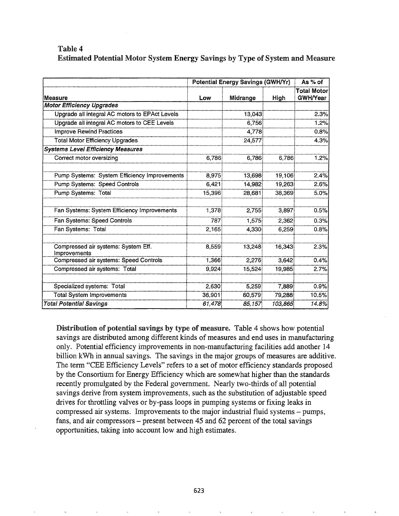### Table 4 Estimated Potential Motor System Energy Savings by Type of System and Measure

|                                                     | <b>Potential Energy Savings (GWH/Yr)</b> |          |         | As % of                               |  |
|-----------------------------------------------------|------------------------------------------|----------|---------|---------------------------------------|--|
| Measure                                             | Low                                      | Midrange | High    | <b>Total Motor</b><br><b>GWH/Year</b> |  |
| <b>Motor Efficiency Upgrades</b>                    |                                          |          |         |                                       |  |
| Upgrade all integral AC motors to EPAct Levels      |                                          | 13,043   |         | 2.3%                                  |  |
| Upgrade all integral AC motors to CEE Levels        |                                          | 6.756    |         | 1.2%                                  |  |
| <b>Improve Rewind Practices</b>                     |                                          | 4,778    |         | 0.8%                                  |  |
| <b>Total Motor Efficiency Upgrades</b>              |                                          | 24,577   |         | 4.3%                                  |  |
| <b>Systems Level Efficiency Measures</b>            |                                          |          |         |                                       |  |
| Correct motor oversizing                            | 6.786                                    | 6.786    | 6,786   | 1.2%                                  |  |
| Pump Systems: System Efficiency Improvements        | 8,975                                    | 13,698   | 19,106  | 2.4%                                  |  |
| Pump Systems: Speed Controls                        | 6,421                                    | 14.982   | 19,263  | 2.6%                                  |  |
| Pump Systems: Total                                 | 15,396                                   | 28,681   | 38,369  | 5.0%                                  |  |
| Fan Systems: System Efficiency Improvements         | 1.378                                    | 2,755    | 3,897   | 0.5%                                  |  |
| Fan Systems: Speed Controls                         | 787                                      | 1,575    | 2,362   | 0.3%                                  |  |
| Fan Systems: Total                                  | 2,165                                    | 4,330    | 6,259   | 0.8%                                  |  |
| Compressed air systems: System Eff.<br>Improvements | 8,559                                    | 13.248   | 16,343  | 2.3%                                  |  |
| Compressed air systems: Speed Controls              | 1.366                                    | 2,276    | 3.642   | 0.4%                                  |  |
| Compressed air systems: Total                       | 9,924                                    | 15,524   | 19,985  | 2.7%                                  |  |
| Specialized systems: Total                          | 2,630                                    | 5,259    | 7,889   | 0.9%                                  |  |
| <b>Total System Improvements</b>                    | 36,901                                   | 60,579   | 79,288  | 10.5%                                 |  |
| <b>Total Potential Savings</b>                      | 61,478                                   | 85,157   | 103,865 | 14.8%                                 |  |

Distribution of potential savings by type of measure. Table 4 shows how potential savings are distributed among different kinds of measures and end uses in manufacturing only. Potential efficiency improvements in non-manufacturing facilities add another 14 billion kWh in annual savings. The savings in the major groups of measures are additive. The term "CEE Efficiency Levels" refers to a set of motor efficiency standards proposed by the Consortium for Energy Efficiency which are somewhat higher than the standards recently promulgated by the Federal government. Nearly two-thirds of all potential savings derive from system improvements, such as the substitution of adjustable speed drives for throttling valves or by-pass loops in pumping systems or fixing leaks in compressed air systems. Improvements to the major industrial fluid systems - pumps, fans, and air compressors – present between 45 and 62 percent of the total savings opportunities, taking into account low and high estimates.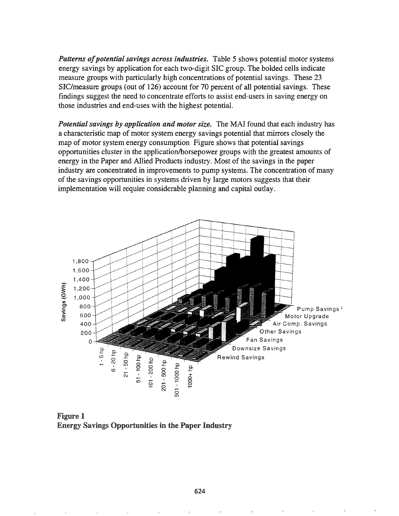Patterns of potential savings across industries. Table 5 shows potential motor systems energy savings by application for each two-digit SIC group. The bolded cells indicate measure groups with particularly high concentrations of potential savings. These 23 SIC/measure groups (out of 126) account for 70 percent of all potential savings. These findings suggest the need to concentrate efforts to assist end-users in saving energy on those industries and end-uses with the highest potential.

Potential savings by application and motor size. The MAI found that each industry has a characteristic map of motor system energy savings potential that mirrors closely the map of motor system energy consumption Figure shows that potential savings opportunities cluster in the application/horsepower groups with the greatest amounts of energy in the Paper and Allied Products industry. Most of the savings in the paper industry are concentrated in improvements to pump systems. The concentration of many of the savings opportunities in systems driven by large motors suggests that their implementation will require considerable planning and capital outlay.



**Figure 1 Energy Savings Opportunities in the Paper Industry**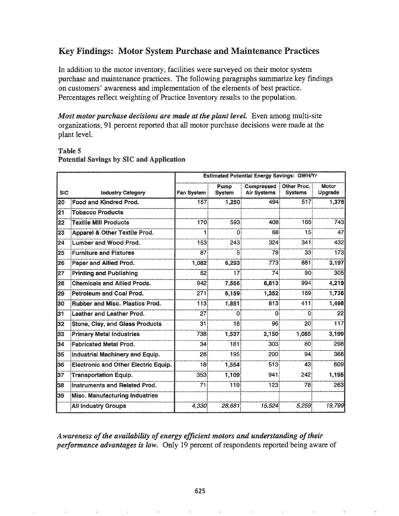# Key Findings: Motor System Purchase and Maintenance Practices

In addition to the motor inventory, facilities were surveyed on their motor system purchase and maintenance practices. The following paragraphs summarize key findings on customers' awareness and implementation of the elements of best practice. Percentages reflect weighting of Practice Inventory results to the population.

Most motor purchase decisions are made at the plant level. Even among multi-site organizations; 91 percent reported that all motor purchase decisions were made at the plant level.

#### Table 5

|            |                                             | <b>Estimated Potential Energy Savings: GWH/Yr</b> |                       |                            |                               |                  |  |
|------------|---------------------------------------------|---------------------------------------------------|-----------------------|----------------------------|-------------------------------|------------------|--|
| <b>SIC</b> | <b>Industry Category</b>                    | Fan System:                                       | Pump<br><b>System</b> | Compressed:<br>Air Systems | Other Proc.<br><b>Systems</b> | Motor<br>Upgrade |  |
| 20         | Food and Kindred Prod.                      | 157 <sup>3</sup>                                  | 1,250                 | 494                        | 517 <sup>3</sup>              | 1,376            |  |
| 21         | <b>Tobacco Products</b>                     |                                                   |                       |                            |                               |                  |  |
| 22         | <b>Textile Mill Products</b>                | 170                                               | 593                   | 408                        | $166^{\frac{1}{2}}$           | 743              |  |
| 23         | Apparel & Other Textile Prod.               |                                                   |                       | 68:                        | 15 <sub>i</sub>               | 47               |  |
| 24         | <b>Lumber and Wood Prod.</b>                | 153                                               | 243                   | 324                        | 341                           | 432              |  |
| 125        | <b>Furniture and Fixtures</b>               | 87                                                | 5                     | 78.                        | 33 <sub>i</sub>               | 173              |  |
| 126        | Paper and Allied Prod.                      | 1.082                                             | 6,293                 | 773                        | 881                           | 3,197            |  |
| 127        | <b>Printing and Publishing</b>              | $52^{\frac{1}{2}}$                                | 17:                   | 74:                        | 90i                           | 305              |  |
| l28        | <b>Chemicals and Allied Prods.</b>          | 942:                                              | 7,556                 | 6,813                      | 994:                          | 4,219            |  |
| l29        | Petroleum and Coal Prod.                    | 271                                               | 6,159                 | 1,352                      | 169.                          | 1,736            |  |
| l30        | <b>Rubber and Misc. Plastics Prod.</b>      | 113:                                              | 1,851                 | 813                        | 411                           | 1,498            |  |
| 131        | Leather and Leather Prod.                   | 27 <sub>3</sub>                                   | 0:                    | Οi                         | 0                             | 22               |  |
| 32         | <b>Stone, Clay, and Glass Products</b>      | 31                                                | 18:                   | 96:                        | 20 <sup>3</sup>               | 117              |  |
| 133        | <b>Primary Metal Industries</b>             | 738                                               | 1,537                 | 2,150                      | 1.085                         | 3,199            |  |
| 134        | <b>Fabricated Metal Prod.</b>               | 34.                                               | 181:                  | 303:                       | 80                            | 298              |  |
| 135        | Industrial Machinery and Equip.             | 28.                                               | 195:                  | 200 <sub>1</sub>           | 94                            | 368              |  |
| 136        | <b>Electronic and Other Electric Equip.</b> | 18 <sup>3</sup>                                   | 1,554                 | 513:                       | 43                            | 609              |  |
| 137        | Transportation Equip.                       | 353                                               | 1,109                 | 941                        | 242:                          | 1,195            |  |
| 138        | Instruments and Related Prod.               | 71                                                | 119 <sup>3</sup>      | 123:                       | 78                            | 263              |  |
| 139        | Misc. Manufacturing Industries              |                                                   |                       |                            |                               |                  |  |
|            | <b>All Industry Groups</b>                  | 4,330                                             | 28.681                | 15,524                     | 5.259                         | 19,799           |  |

#### Potential Savings by SIC and Application

Awareness of the availability of energy efficient motors and understanding of their performance advantages is low. Only 19 percent of respondents reported being aware of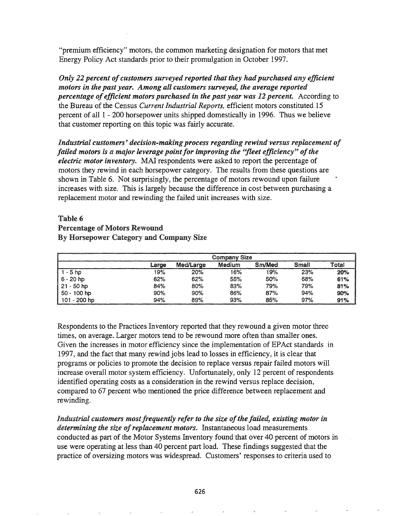"premium efficiency" motors, the common marketing designation for motors that met Energy Policy Act standards prior to their promulgation in October 1997.

*Only* 22 *percent* of *customers surveyed reported that they had purchased any efficient motors in the past year,.. Among all customers surveyed, the average reported percentage ofefficient motors purchased in the past year was* 12 percent~ According to the Bureau of the Census *Current Industrial Reports,* efficient motors constituted 15 percent of all 1 - 200 horsepower units shipped domestically in 1996. Thus we believe that customer reporting on this topic was fairly accurate.

*Industrial customers' decision-making process regarding rewind versus replacement of failed motors is a major leverage pointfor improving the ''fleet efficiency" ofthe electric motor inventory.* MAl respondents were asked to report the percentage of motors they rewind in each horsepower category. The results from these questions are shown in Table 6. Not surprisingly, the percentage of motors rewound upon failure increases with size. This is largely because the difference in cost between purchasing a replacement motor and rewinding the failed unit increases with size.

### Table 6 Percentage of Motors Rewound By Horsepower Category and Company Size

|               | <b>Company Size</b> |           |        |        |       |       |
|---------------|---------------------|-----------|--------|--------|-------|-------|
|               | Large               | Med/Large | Medium | Sm/Med | Small | Total |
| 1 - 5 hp      | 19%                 | 20%       | 16%    | 19%    | 23%   | 20%   |
| $6 - 20$ hp   | 62%                 | 62%       | 55%    | 50%    | 68%   | 61%   |
| 21 - 50 hp    | 84%                 | 80%       | 83%    | 79%    | 79%   | 81%   |
| , 50 - 100 hp | 90%                 | 90%       | 86%    | 87%    | 94%   | 90%   |
| 101 - 200 hp  | 94%                 | 89%       | 93%    | 85%    | 97%   | 91%   |

Respondents to the Practices Inventory reported that they rewound a given motor three times, on average. Larger motors tend to be rewound more often than smaller ones. Given the increases in motor efficiency since the implementation of EPAct standards in 1997, and the fact that many rewind jobs lead to losses in efficiency, it is clear that programs or policies to promote the decision to replace versus repair failed motors will increase overall motor system efficiency. Unfortunately, only 12 percent of respondents identified operating costs as a consideration in the rewind versus replace decision, compared to 67 percent who mentioned the price difference between replacement and rewinding.

*Industrial customers mostfrequently refer to the size ofthe failed, existing motor in determining the size of replacement motors.* Instantaneous load measurements conducted as part of the Motor Systems Inventory found that over 40 percent of motors in use were operating at less than 40 percent part load. These findings suggested that the practice of oversizing motors was widespread. Customers' responses to criteria used to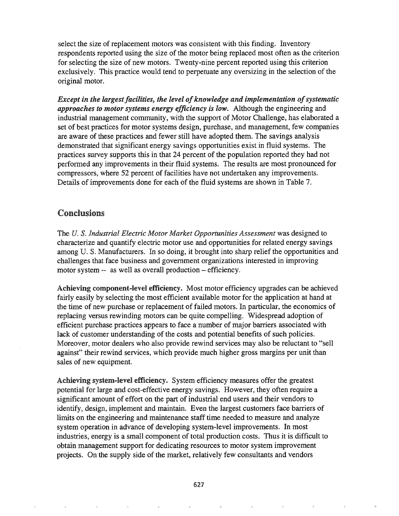select the size of replacement motors was consistent with this finding. Inventory respondents reported using the size of the motor being replaced most often as the criterion for selecting the size of new motors. Twenty-nine percent reported using this criterion exclusively. This practice would tend to perpetuate any oversizing in the selection of the original motor.

*Except* in the *largest* facilities, the level of knowledge and *implementation* of systematic *approaches to motorsystems energy efficiency is low.* Although the engineering and industrial management community, with the support of Motor Challenge, has elaborated a set of best practices for motor systems design, purchase, and management, few companies are aware of these practices and fewer still have adopted them. The savings analysis demonstrated that significant energy savings opportunities exist in fluid systems. The practices survey supports this in that 24 percent of the population reported they had not performed any improvements in their fluid systems. The results are most pronounced for compressors, where 52 percent of facilities have not undertaken any improvements. Details of improvements done for each of the fluid systems are shown in Table 7.

#### Conclusions

The *U.* S. *Industrial Electric Motor Market Opportunities Assessment* was designed to characterize and quantify electric motor use and opportunities for related energy savings among U. S. Manufacturers. In so doing, it brought into sharp relief the opportunities and challenges that face business and government organizations interested in improving motor system -- as well as overall production – efficiency.

Achieving component-level efficiency. Most motor efficiency upgrades can be achieved fairly easily by selecting the most efficient available motor for the application at hand at the time of new purchase or replacement of failed motors. In particular, the economics of replacing versus rewinding motors can be quite compelling. Widespread adoption of efficient purchase practices appears to face a number of major barriers associated with lack of customer understanding of the costs and potential benefits of such policies. Moreover, motor dealers who also provide rewind services may also be reluctant to "sell against" their rewind services, which provide much higher gross margins per unit than sales of new equipment.

Achieving system-level efficiency. System efficiency measures offer the greatest potential for large and cost-effective energy savings. However, they often require a significant amount of effort on the part of industrial end users and their vendors to identify, design, implement and maintain. Even the largest customers face barriers of limits on the engineering and maintenance staff time needed to measure and analyze system operation in advance of developing system-level improvements. In most industries, energy is a small component of total production costs. Thus it is difficult to obtain management support for dedicating resources to motor system improvement projects. On the supply side of the market, relatively few consultants and vendors